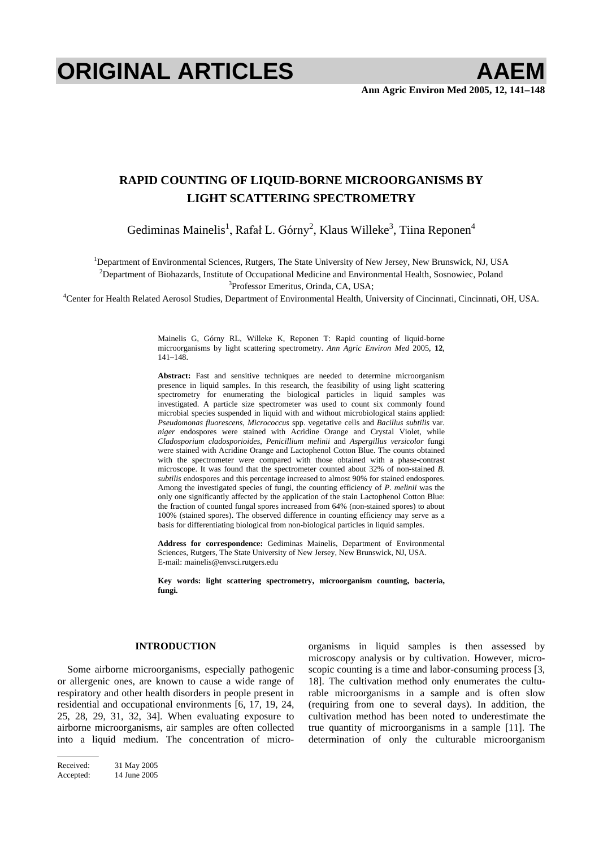# **ORIGINAL ARTICLES AAEM**

# **RAPID COUNTING OF LIQUID-BORNE MICROORGANISMS BY LIGHT SCATTERING SPECTROMETRY**

Gediminas Mainelis<sup>1</sup>, Rafał L. Górny<sup>2</sup>, Klaus Willeke<sup>3</sup>, Tiina Reponen<sup>4</sup>

<sup>1</sup>Department of Environmental Sciences, Rutgers, The State University of New Jersey, New Brunswick, NJ, USA <sup>2</sup>Department of Biohazards, Institute of Occupational Medicine and Environmental Health, Sosnowiec, Poland <sup>3</sup><br><sup>3</sup>Departmental Health, Sosnowiec, Poland 3

Professor Emeritus, Orinda, CA, USA; 4 Center for Health Related Aerosol Studies, Department of Environmental Health, University of Cincinnati, Cincinnati, OH, USA.

Mainelis G, Górny RL, Willeke K, Reponen T: Rapid counting of liquid-borne microorganisms by light scattering spectrometry. *Ann Agric Environ Med* 2005, **12**, 141–148.

**Abstract:** Fast and sensitive techniques are needed to determine microorganism presence in liquid samples. In this research, the feasibility of using light scattering spectrometry for enumerating the biological particles in liquid samples was investigated. A particle size spectrometer was used to count six commonly found microbial species suspended in liquid with and without microbiological stains applied: *Pseudomonas fluorescens*, *Micrococcus* spp. vegetative cells and *Bacillus subtilis* var. *niger* endospores were stained with Acridine Orange and Crystal Violet, while *Cladosporium cladosporioides*, *Penicillium melinii* and *Aspergillus versicolor* fungi were stained with Acridine Orange and Lactophenol Cotton Blue. The counts obtained with the spectrometer were compared with those obtained with a phase-contrast microscope. It was found that the spectrometer counted about 32% of non-stained *B. subtilis* endospores and this percentage increased to almost 90% for stained endospores. Among the investigated species of fungi, the counting efficiency of *P. melinii* was the only one significantly affected by the application of the stain Lactophenol Cotton Blue: the fraction of counted fungal spores increased from 64% (non-stained spores) to about 100% (stained spores). The observed difference in counting efficiency may serve as a basis for differentiating biological from non-biological particles in liquid samples.

**Address for correspondence:** Gediminas Mainelis, Department of Environmental Sciences, Rutgers, The State University of New Jersey, New Brunswick, NJ, USA. E-mail: mainelis@envsci.rutgers.edu

**Key words: light scattering spectrometry, microorganism counting, bacteria, fungi.** 

### **INTRODUCTION**

Some airborne microorganisms, especially pathogenic or allergenic ones, are known to cause a wide range of respiratory and other health disorders in people present in residential and occupational environments [6, 17, 19, 24, 25, 28, 29, 31, 32, 34]. When evaluating exposure to airborne microorganisms, air samples are often collected into a liquid medium. The concentration of microorganisms in liquid samples is then assessed by microscopy analysis or by cultivation. However, microscopic counting is a time and labor-consuming process [3, 18]. The cultivation method only enumerates the culturable microorganisms in a sample and is often slow (requiring from one to several days). In addition, the cultivation method has been noted to underestimate the true quantity of microorganisms in a sample [11]. The determination of only the culturable microorganism

Received: 31 May 2005 Accepted: 14 June 2005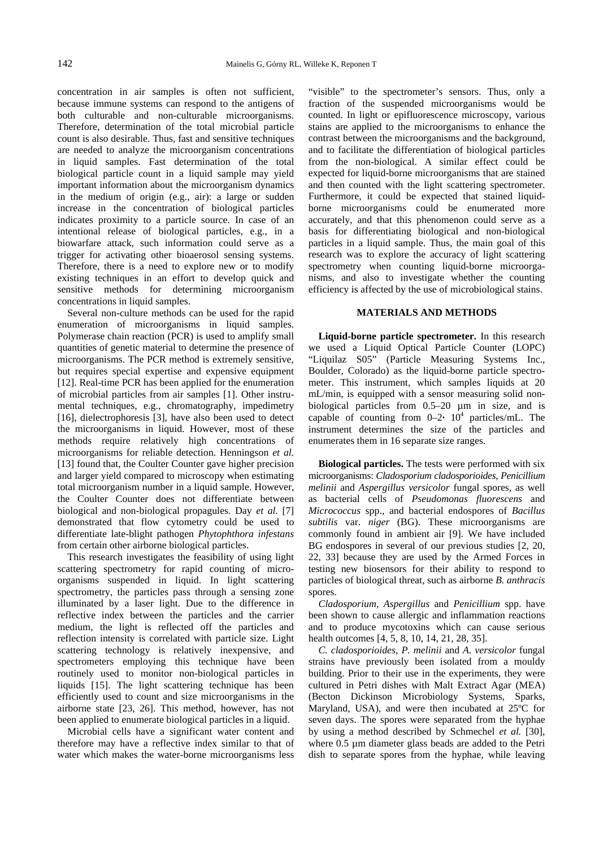concentration in air samples is often not sufficient, because immune systems can respond to the antigens of both culturable and non-culturable microorganisms. Therefore, determination of the total microbial particle count is also desirable. Thus, fast and sensitive techniques are needed to analyze the microorganism concentrations in liquid samples. Fast determination of the total biological particle count in a liquid sample may yield important information about the microorganism dynamics in the medium of origin (e.g., air): a large or sudden increase in the concentration of biological particles indicates proximity to a particle source. In case of an intentional release of biological particles, e.g., in a biowarfare attack, such information could serve as a trigger for activating other bioaerosol sensing systems. Therefore, there is a need to explore new or to modify existing techniques in an effort to develop quick and sensitive methods for determining microorganism concentrations in liquid samples.

Several non-culture methods can be used for the rapid enumeration of microorganisms in liquid samples. Polymerase chain reaction (PCR) is used to amplify small quantities of genetic material to determine the presence of microorganisms. The PCR method is extremely sensitive, but requires special expertise and expensive equipment [12]. Real-time PCR has been applied for the enumeration of microbial particles from air samples [1]. Other instrumental techniques, e.g., chromatography, impedimetry [16], dielectrophoresis [3], have also been used to detect the microorganisms in liquid. However, most of these methods require relatively high concentrations of microorganisms for reliable detection. Henningson *et al.* [13] found that, the Coulter Counter gave higher precision and larger yield compared to microscopy when estimating total microorganism number in a liquid sample. However, the Coulter Counter does not differentiate between biological and non-biological propagules. Day *et al.* [7] demonstrated that flow cytometry could be used to differentiate late-blight pathogen *Phytophthora infestans* from certain other airborne biological particles.

This research investigates the feasibility of using light scattering spectrometry for rapid counting of microorganisms suspended in liquid. In light scattering spectrometry, the particles pass through a sensing zone illuminated by a laser light. Due to the difference in reflective index between the particles and the carrier medium, the light is reflected off the particles and reflection intensity is correlated with particle size. Light scattering technology is relatively inexpensive, and spectrometers employing this technique have been routinely used to monitor non-biological particles in liquids [15]. The light scattering technique has been efficiently used to count and size microorganisms in the airborne state [23, 26]. This method, however, has not been applied to enumerate biological particles in a liquid.

Microbial cells have a significant water content and therefore may have a reflective index similar to that of water which makes the water-borne microorganisms less "visible" to the spectrometer's sensors. Thus, only a fraction of the suspended microorganisms would be counted. In light or epifluorescence microscopy, various stains are applied to the microorganisms to enhance the contrast between the microorganisms and the background, and to facilitate the differentiation of biological particles from the non-biological. A similar effect could be expected for liquid-borne microorganisms that are stained and then counted with the light scattering spectrometer. Furthermore, it could be expected that stained liquidborne microorganisms could be enumerated more accurately, and that this phenomenon could serve as a basis for differentiating biological and non-biological particles in a liquid sample. Thus, the main goal of this research was to explore the accuracy of light scattering spectrometry when counting liquid-borne microorganisms, and also to investigate whether the counting efficiency is affected by the use of microbiological stains.

# **MATERIALS AND METHODS**

**Liquid-borne particle spectrometer.** In this research we used a Liquid Optical Particle Counter (LOPC) "Liquilaz S05" (Particle Measuring Systems Inc., Boulder, Colorado) as the liquid-borne particle spectrometer. This instrument, which samples liquids at 20 mL/min, is equipped with a sensor measuring solid nonbiological particles from 0.5–20 µm in size, and is capable of counting from  $0-2$   $\cdot$   $10^4$  particles/mL. The instrument determines the size of the particles and enumerates them in 16 separate size ranges.

**Biological particles.** The tests were performed with six microorganisms: *Cladosporium cladosporioides*, *Penicillium melinii* and *Aspergillus versicolor* fungal spores, as well as bacterial cells of *Pseudomonas fluorescens* and *Micrococcus* spp., and bacterial endospores of *Bacillus subtilis* var. *niger* (BG). These microorganisms are commonly found in ambient air [9]. We have included BG endospores in several of our previous studies [2, 20, 22, 33] because they are used by the Armed Forces in testing new biosensors for their ability to respond to particles of biological threat, such as airborne *B. anthracis* spores.

*Cladosporium*, *Aspergillus* and *Penicillium* spp. have been shown to cause allergic and inflammation reactions and to produce mycotoxins which can cause serious health outcomes [4, 5, 8, 10, 14, 21, 28, 35].

*C. cladosporioides*, *P. melinii* and *A. versicolor* fungal strains have previously been isolated from a mouldy building. Prior to their use in the experiments, they were cultured in Petri dishes with Malt Extract Agar (MEA) (Becton Dickinson Microbiology Systems, Sparks, Maryland, USA), and were then incubated at 25ºC for seven days. The spores were separated from the hyphae by using a method described by Schmechel *et al.* [30], where 0.5  $\mu$ m diameter glass beads are added to the Petri dish to separate spores from the hyphae, while leaving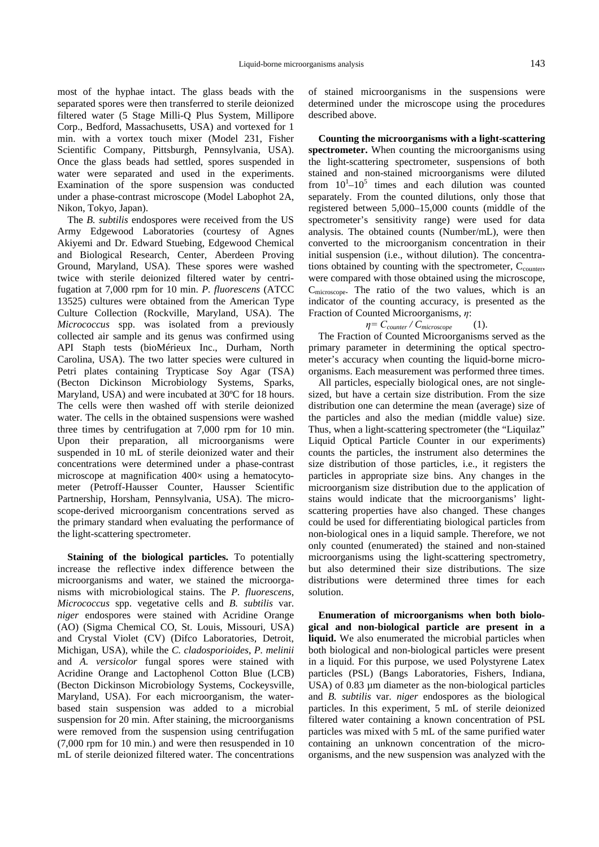most of the hyphae intact. The glass beads with the separated spores were then transferred to sterile deionized filtered water (5 Stage Milli-Q Plus System, Millipore Corp., Bedford, Massachusetts, USA) and vortexed for 1 min. with a vortex touch mixer (Model 231, Fisher Scientific Company, Pittsburgh, Pennsylvania, USA). Once the glass beads had settled, spores suspended in water were separated and used in the experiments. Examination of the spore suspension was conducted under a phase-contrast microscope (Model Labophot 2A, Nikon, Tokyo, Japan).

The *B. subtilis* endospores were received from the US Army Edgewood Laboratories (courtesy of Agnes Akiyemi and Dr. Edward Stuebing, Edgewood Chemical and Biological Research, Center, Aberdeen Proving Ground, Maryland, USA). These spores were washed twice with sterile deionized filtered water by centrifugation at 7,000 rpm for 10 min. *P. fluorescens* (ATCC 13525) cultures were obtained from the American Type Culture Collection (Rockville, Maryland, USA). The *Micrococcus* spp. was isolated from a previously collected air sample and its genus was confirmed using API Staph tests (bioMérieux Inc., Durham, North Carolina, USA). The two latter species were cultured in Petri plates containing Trypticase Soy Agar (TSA) (Becton Dickinson Microbiology Systems, Sparks, Maryland, USA) and were incubated at 30ºC for 18 hours. The cells were then washed off with sterile deionized water. The cells in the obtained suspensions were washed three times by centrifugation at 7,000 rpm for 10 min. Upon their preparation, all microorganisms were suspended in 10 mL of sterile deionized water and their concentrations were determined under a phase-contrast microscope at magnification  $400\times$  using a hematocytometer (Petroff-Hausser Counter, Hausser Scientific Partnership, Horsham, Pennsylvania, USA). The microscope-derived microorganism concentrations served as the primary standard when evaluating the performance of the light-scattering spectrometer.

**Staining of the biological particles.** To potentially increase the reflective index difference between the microorganisms and water, we stained the microorganisms with microbiological stains. The *P. fluorescens*, *Micrococcus* spp. vegetative cells and *B. subtilis* var. *niger* endospores were stained with Acridine Orange (AO) (Sigma Chemical CO, St. Louis, Missouri, USA) and Crystal Violet (CV) (Difco Laboratories, Detroit, Michigan, USA), while the *C. cladosporioides*, *P. melinii* and *A. versicolor* fungal spores were stained with Acridine Orange and Lactophenol Cotton Blue (LCB) (Becton Dickinson Microbiology Systems, Cockeysville, Maryland, USA). For each microorganism, the waterbased stain suspension was added to a microbial suspension for 20 min. After staining, the microorganisms were removed from the suspension using centrifugation (7,000 rpm for 10 min.) and were then resuspended in 10 mL of sterile deionized filtered water. The concentrations of stained microorganisms in the suspensions were determined under the microscope using the procedures described above.

**Counting the microorganisms with a light-scattering spectrometer.** When counting the microorganisms using the light-scattering spectrometer, suspensions of both stained and non-stained microorganisms were diluted from  $10^{1}$ - $10^{5}$  times and each dilution was counted separately. From the counted dilutions, only those that registered between 5,000–15,000 counts (middle of the spectrometer's sensitivity range) were used for data analysis. The obtained counts (Number/mL), were then converted to the microorganism concentration in their initial suspension (i.e., without dilution). The concentrations obtained by counting with the spectrometer,  $C_{\text{counter}}$ , were compared with those obtained using the microscope, Cmicroscope. The ratio of the two values, which is an indicator of the counting accuracy, is presented as the Fraction of Counted Microorganisms,  $\eta$ :

$$
\eta = C_{counter} / C_{microscope} \qquad (1).
$$

The Fraction of Counted Microorganisms served as the primary parameter in determining the optical spectrometer's accuracy when counting the liquid-borne microorganisms. Each measurement was performed three times.

All particles, especially biological ones, are not singlesized, but have a certain size distribution. From the size distribution one can determine the mean (average) size of the particles and also the median (middle value) size. Thus, when a light-scattering spectrometer (the "Liquilaz" Liquid Optical Particle Counter in our experiments) counts the particles, the instrument also determines the size distribution of those particles, i.e., it registers the particles in appropriate size bins. Any changes in the microorganism size distribution due to the application of stains would indicate that the microorganisms' lightscattering properties have also changed. These changes could be used for differentiating biological particles from non-biological ones in a liquid sample. Therefore, we not only counted (enumerated) the stained and non-stained microorganisms using the light-scattering spectrometry, but also determined their size distributions. The size distributions were determined three times for each solution.

**Enumeration of microorganisms when both biological and non-biological particle are present in a liquid.** We also enumerated the microbial particles when both biological and non-biological particles were present in a liquid. For this purpose, we used Polystyrene Latex particles (PSL) (Bangs Laboratories, Fishers, Indiana, USA) of 0.83  $\mu$ m diameter as the non-biological particles and *B. subtilis* var. *niger* endospores as the biological particles. In this experiment, 5 mL of sterile deionized filtered water containing a known concentration of PSL particles was mixed with 5 mL of the same purified water containing an unknown concentration of the microorganisms, and the new suspension was analyzed with the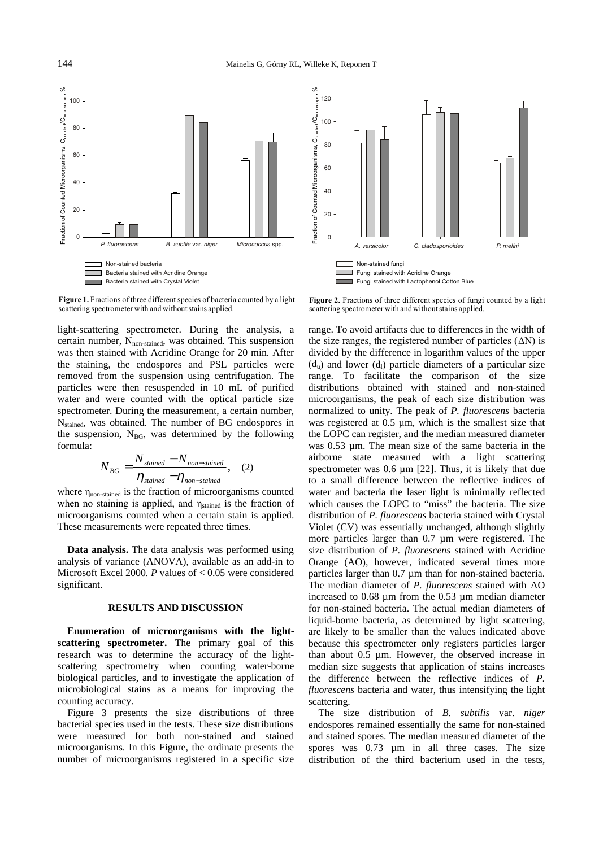

п Figure 1. Fractions of three different species of bacteria counted by a light scattering spectrometer with and without stains applied.

light-scattering spectrometer. During the analysis, a certain number, N<sub>non-stained</sub>, was obtained. This suspension was then stained with Acridine Orange for 20 min. After the staining, the endospores and PSL particles were removed from the suspension using centrifugation. The particles were then resuspended in 10 mL of purified water and were counted with the optical particle size spectrometer. During the measurement, a certain number, N<sub>stained</sub>, was obtained. The number of BG endospores in the suspension,  $N_{BG}$ , was determined by the following formula:

$$
N_{BG} = \frac{N_{\text{stained}} - N_{\text{non-stained}}}{\eta_{\text{stained}} - \eta_{\text{non-stained}}}, \quad (2)
$$

where  $\eta_{\text{non-stained}}$  is the fraction of microorganisms counted when no staining is applied, and  $\eta_{\text{stained}}$  is the fraction of microorganisms counted when a certain stain is applied. These measurements were repeated three times.

**Data analysis.** The data analysis was performed using analysis of variance (ANOVA), available as an add-in to Microsoft Excel 2000. *P* values of < 0.05 were considered significant.

# **RESULTS AND DISCUSSION**

**Enumeration of microorganisms with the lightscattering spectrometer.** The primary goal of this research was to determine the accuracy of the lightscattering spectrometry when counting water-borne biological particles, and to investigate the application of microbiological stains as a means for improving the counting accuracy.

Figure 3 presents the size distributions of three bacterial species used in the tests. These size distributions were measured for both non-stained and stained microorganisms. In this Figure, the ordinate presents the number of microorganisms registered in a specific size



Figure 2. Fractions of three different species of fungi counted by a light scattering spectrometer with and without stains applied.

range. To avoid artifacts due to differences in the width of the size ranges, the registered number of particles  $(\Delta N)$  is divided by the difference in logarithm values of the upper  $(d<sub>u</sub>)$  and lower  $(d<sub>l</sub>)$  particle diameters of a particular size range. To facilitate the comparison of the size distributions obtained with stained and non-stained microorganisms, the peak of each size distribution was normalized to unity. The peak of *P. fluorescens* bacteria was registered at 0.5  $\mu$ m, which is the smallest size that the LOPC can register, and the median measured diameter was 0.53 µm. The mean size of the same bacteria in the airborne state measured with a light scattering spectrometer was 0.6  $\mu$ m [22]. Thus, it is likely that due to a small difference between the reflective indices of water and bacteria the laser light is minimally reflected which causes the LOPC to "miss" the bacteria. The size distribution of *P. fluorescens* bacteria stained with Crystal Violet (CV) was essentially unchanged, although slightly more particles larger than 0.7 µm were registered. The size distribution of *P. fluorescens* stained with Acridine Orange (AO), however, indicated several times more particles larger than 0.7 µm than for non-stained bacteria. The median diameter of *P. fluorescens* stained with AO increased to 0.68 µm from the 0.53 µm median diameter for non-stained bacteria. The actual median diameters of liquid-borne bacteria, as determined by light scattering, are likely to be smaller than the values indicated above because this spectrometer only registers particles larger than about 0.5 µm. However, the observed increase in median size suggests that application of stains increases the difference between the reflective indices of *P. fluorescens* bacteria and water, thus intensifying the light scattering.

The size distribution of *B. subtilis* var. *niger* endospores remained essentially the same for non-stained and stained spores. The median measured diameter of the spores was 0.73  $\mu$ m in all three cases. The size distribution of the third bacterium used in the tests,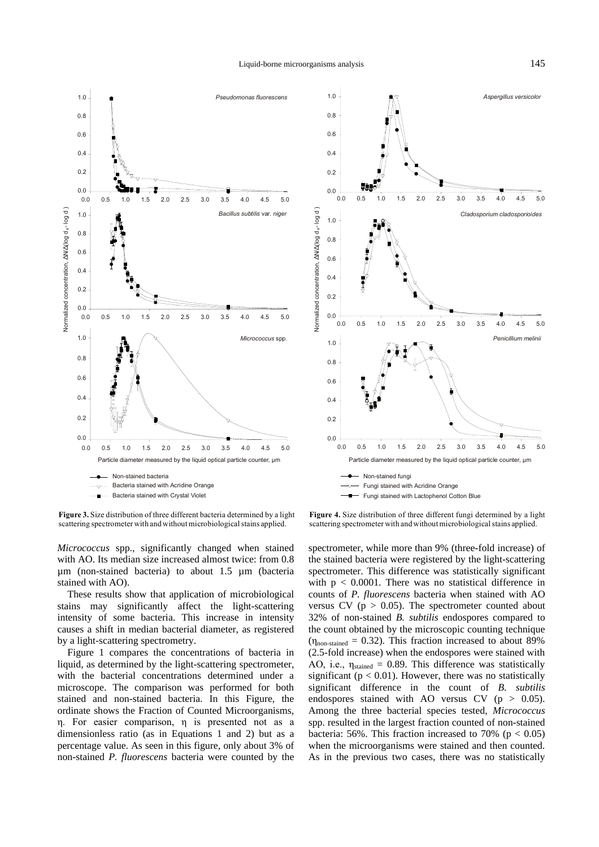



Figure 3. Size distribution of three different bacteria determined by a light scattering spectrometer with and without microbiological stains applied.

*Micrococcus* spp., significantly changed when stained with AO. Its median size increased almost twice: from 0.8 µm (non-stained bacteria) to about 1.5 µm (bacteria stained with AO).

These results show that application of microbiological stains may significantly affect the light-scattering intensity of some bacteria. This increase in intensity causes a shift in median bacterial diameter, as registered by a light-scattering spectrometry.

Figure 1 compares the concentrations of bacteria in liquid, as determined by the light-scattering spectrometer, with the bacterial concentrations determined under a microscope. The comparison was performed for both stained and non-stained bacteria. In this Figure, the ordinate shows the Fraction of Counted Microorganisms,  $n.$  For easier comparison,  $n$  is presented not as a dimensionless ratio (as in Equations 1 and 2) but as a percentage value. As seen in this figure, only about 3% of non-stained *P. fluorescens* bacteria were counted by the

Figure 4. Size distribution of three different fungi determined by a light scattering spectrometer with and without microbiological stains applied.

spectrometer, while more than 9% (three-fold increase) of the stained bacteria were registered by the light-scattering spectrometer. This difference was statistically significant with  $p < 0.0001$ . There was no statistical difference in counts of *P. fluorescens* bacteria when stained with AO versus CV ( $p > 0.05$ ). The spectrometer counted about 32% of non-stained *B. subtilis* endospores compared to the count obtained by the microscopic counting technique  $(\eta_{\text{non-stained}} = 0.32)$ . This fraction increased to about 89% (2.5-fold increase) when the endospores were stained with AO, i.e.,  $\eta_{\text{stained}} = 0.89$ . This difference was statistically significant ( $p < 0.01$ ). However, there was no statistically significant difference in the count of *B. subtilis* endospores stained with AO versus  $CV (p > 0.05)$ . Among the three bacterial species tested, *Micrococcus* spp. resulted in the largest fraction counted of non-stained bacteria: 56%. This fraction increased to 70% ( $p < 0.05$ ) when the microorganisms were stained and then counted. As in the previous two cases, there was no statistically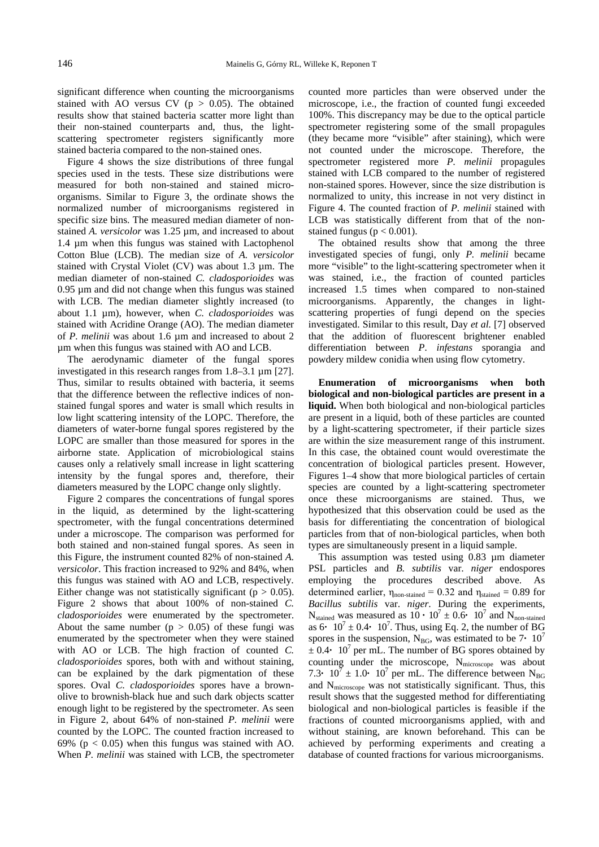significant difference when counting the microorganisms stained with AO versus CV ( $p > 0.05$ ). The obtained results show that stained bacteria scatter more light than their non-stained counterparts and, thus, the lightscattering spectrometer registers significantly more stained bacteria compared to the non-stained ones.

Figure 4 shows the size distributions of three fungal species used in the tests. These size distributions were measured for both non-stained and stained microorganisms. Similar to Figure 3, the ordinate shows the normalized number of microorganisms registered in specific size bins. The measured median diameter of nonstained *A. versicolor* was 1.25 µm, and increased to about 1.4 µm when this fungus was stained with Lactophenol Cotton Blue (LCB). The median size of *A. versicolor* stained with Crystal Violet (CV) was about 1.3 µm. The median diameter of non-stained *C. cladosporioides* was 0.95 µm and did not change when this fungus was stained with LCB. The median diameter slightly increased (to about 1.1 µm), however, when *C. cladosporioides* was stained with Acridine Orange (AO). The median diameter of *P. melinii* was about 1.6 µm and increased to about 2 µm when this fungus was stained with AO and LCB.

The aerodynamic diameter of the fungal spores investigated in this research ranges from 1.8–3.1 µm [27]. Thus, similar to results obtained with bacteria, it seems that the difference between the reflective indices of nonstained fungal spores and water is small which results in low light scattering intensity of the LOPC. Therefore, the diameters of water-borne fungal spores registered by the LOPC are smaller than those measured for spores in the airborne state. Application of microbiological stains causes only a relatively small increase in light scattering intensity by the fungal spores and, therefore, their diameters measured by the LOPC change only slightly.

Figure 2 compares the concentrations of fungal spores in the liquid, as determined by the light-scattering spectrometer, with the fungal concentrations determined under a microscope. The comparison was performed for both stained and non-stained fungal spores. As seen in this Figure, the instrument counted 82% of non-stained *A. versicolor*. This fraction increased to 92% and 84%, when this fungus was stained with AO and LCB, respectively. Either change was not statistically significant ( $p > 0.05$ ). Figure 2 shows that about 100% of non-stained *C. cladosporioides* were enumerated by the spectrometer. About the same number  $(p > 0.05)$  of these fungi was enumerated by the spectrometer when they were stained with AO or LCB. The high fraction of counted *C. cladosporioides* spores, both with and without staining, can be explained by the dark pigmentation of these spores. Oval *C. cladosporioides* spores have a brownolive to brownish-black hue and such dark objects scatter enough light to be registered by the spectrometer. As seen in Figure 2, about 64% of non-stained *P. melinii* were counted by the LOPC. The counted fraction increased to 69% ( $p < 0.05$ ) when this fungus was stained with AO. When *P. melinii* was stained with LCB, the spectrometer counted more particles than were observed under the microscope, i.e., the fraction of counted fungi exceeded 100%. This discrepancy may be due to the optical particle spectrometer registering some of the small propagules (they became more "visible" after staining), which were not counted under the microscope. Therefore, the spectrometer registered more *P. melinii* propagules stained with LCB compared to the number of registered non-stained spores. However, since the size distribution is normalized to unity, this increase in not very distinct in Figure 4. The counted fraction of *P. melinii* stained with LCB was statistically different from that of the nonstained fungus ( $p < 0.001$ ).

The obtained results show that among the three investigated species of fungi, only *P. melinii* became more "visible" to the light-scattering spectrometer when it was stained, i.e., the fraction of counted particles increased 1.5 times when compared to non-stained microorganisms. Apparently, the changes in lightscattering properties of fungi depend on the species investigated. Similar to this result, Day *et al.* [7] observed that the addition of fluorescent brightener enabled differentiation between *P. infestans* sporangia and powdery mildew conidia when using flow cytometry.

**Enumeration of microorganisms when both biological and non-biological particles are present in a liquid.** When both biological and non-biological particles are present in a liquid, both of these particles are counted by a light-scattering spectrometer, if their particle sizes are within the size measurement range of this instrument. In this case, the obtained count would overestimate the concentration of biological particles present. However, Figures 1–4 show that more biological particles of certain species are counted by a light-scattering spectrometer once these microorganisms are stained. Thus, we hypothesized that this observation could be used as the basis for differentiating the concentration of biological particles from that of non-biological particles, when both types are simultaneously present in a liquid sample.

This assumption was tested using 0.83 µm diameter PSL particles and *B. subtilis* var. *niger* endospores employing the procedures described above. As determined earlier,  $\eta_{\text{non-stained}} = 0.32$  and  $\eta_{\text{stained}} = 0.89$  for *Bacillus subtilis* var. *niger*. During the experiments,  $N_{\text{stained}}$  was measured as  $10 \cdot 10^7 \pm 0.6 \cdot 10^7$  and  $N_{\text{non-stained}}$ as  $6 \cdot 10^7 \pm 0.4 \cdot 10^7$ . Thus, using Eq. 2, the number of BG spores in the suspension, N<sub>BG</sub>, was estimated to be  $7 \cdot 10^7$  $\pm$  0.4  $\cdot$  10<sup>7</sup> per mL. The number of BG spores obtained by counting under the microscope, N<sub>microscope</sub> was about 7.3  $\cdot$  10<sup>7</sup>  $\pm$  1.0  $\cdot$  10<sup>7</sup> per mL. The difference between N<sub>BG</sub> and Nmicroscope was not statistically significant. Thus, this result shows that the suggested method for differentiating biological and non-biological particles is feasible if the fractions of counted microorganisms applied, with and without staining, are known beforehand. This can be achieved by performing experiments and creating a database of counted fractions for various microorganisms.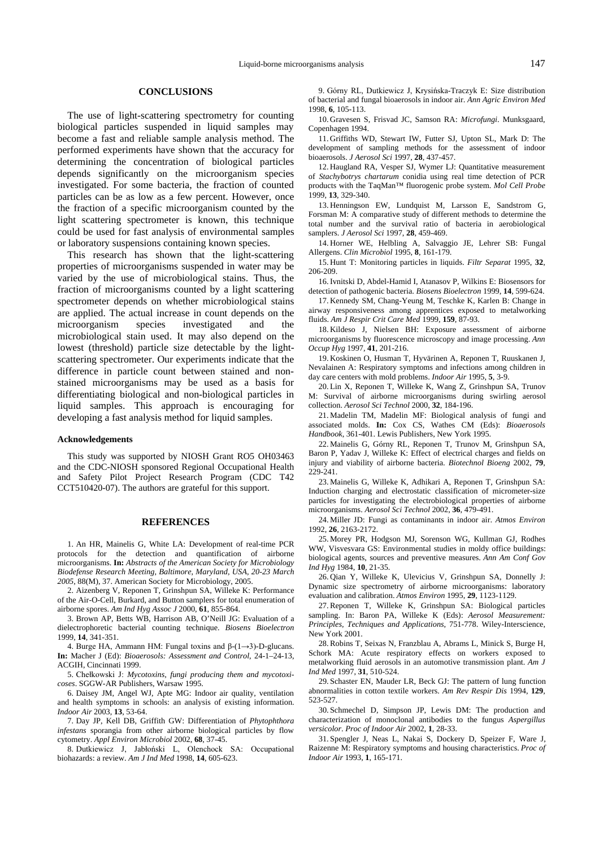### **CONCLUSIONS**

The use of light-scattering spectrometry for counting biological particles suspended in liquid samples may become a fast and reliable sample analysis method. The performed experiments have shown that the accuracy for determining the concentration of biological particles depends significantly on the microorganism species investigated. For some bacteria, the fraction of counted particles can be as low as a few percent. However, once the fraction of a specific microorganism counted by the light scattering spectrometer is known, this technique could be used for fast analysis of environmental samples or laboratory suspensions containing known species.

This research has shown that the light-scattering properties of microorganisms suspended in water may be varied by the use of microbiological stains. Thus, the fraction of microorganisms counted by a light scattering spectrometer depends on whether microbiological stains are applied. The actual increase in count depends on the microorganism species investigated and the microbiological stain used. It may also depend on the lowest (threshold) particle size detectable by the lightscattering spectrometer. Our experiments indicate that the difference in particle count between stained and nonstained microorganisms may be used as a basis for differentiating biological and non-biological particles in liquid samples. This approach is encouraging for developing a fast analysis method for liquid samples.

## **Acknowledgements**

This study was supported by NIOSH Grant RO5 OH03463 and the CDC-NIOSH sponsored Regional Occupational Health and Safety Pilot Project Research Program (CDC T42 CCT510420-07). The authors are grateful for this support.

### **REFERENCES**

1. An HR, Mainelis G, White LA: Development of real-time PCR protocols for the detection and quantification of airborne microorganisms. **In:** *Abstracts of the American Society for Microbiology Biodefense Research Meeting, Baltimore, Maryland, USA, 20-23 March 2005*, 88(M), 37. American Society for Microbiology, 2005.

2. Aizenberg V, Reponen T, Grinshpun SA, Willeke K: Performance of the Air-O-Cell, Burkard, and Button samplers for total enumeration of airborne spores. *Am Ind Hyg Assoc J* 2000, **61**, 855-864.

3. Brown AP, Betts WB, Harrison AB, O'Neill JG: Evaluation of a dielectrophoretic bacterial counting technique. *Biosens Bioelectron* 1999, **14**, 341-351.

4. Burge HA, Ammann HM: Fungal toxins and  $\beta$ -(1 $\rightarrow$ 3)-D-glucans. **In:** Macher J (Ed): *Bioaerosols: Assessment and Control*, 24-1–24-13, ACGIH, Cincinnati 1999.

5. Chełkowski J: Mycotoxins, fungi producing them and mycotoxi*coses*. SGGW-AR Publishers, Warsaw 1995.

6. Daisey JM, Angel WJ, Apte MG: Indoor air quality, ventilation and health symptoms in schools: an analysis of existing information. *Indoor Air* 2003, **13**, 53-64.

7. Day JP, Kell DB, Griffith GW: Differentiation of *Phytophthora infestans* sporangia from other airborne biological particles by flow cytometry. *Appl Environ Microbiol* 2002, **68**, 37-45.

8. Dutkiewicz J, Jabłoński L, Olenchock SA: Occupational biohazards: a review. *Am J Ind Med* 1998, **14**, 605-623.

9. Górny RL, Dutkiewicz J, Krysińska-Traczyk E: Size distribution of bacterial and fungal bioaerosols in indoor air. *Ann Agric Environ Med*  1998, **6**, 105-113.

10. Gravesen S, Frisvad JC, Samson RA: *Microfungi*. Munksgaard, Copenhagen 1994.

11. Griffiths WD, Stewart IW, Futter SJ, Upton SL, Mark D: The development of sampling methods for the assessment of indoor bioaerosols. *J Aerosol Sci* 1997, **28**, 437-457.

12. Haugland RA, Vesper SJ, Wymer LJ: Quantitative measurement of *Stachybotrys chartarum* conidia using real time detection of PCR products with the TaqMan™ fluorogenic probe system. *Mol Cell Probe* 1999, **13**, 329-340.

13. Henningson EW, Lundquist M, Larsson E, Sandstrom G, Forsman M: A comparative study of different methods to determine the total number and the survival ratio of bacteria in aerobiological samplers. *J Aerosol Sci* 1997, **28**, 459-469.

14. Horner WE, Helbling A, Salvaggio JE, Lehrer SB: Fungal Allergens. *Clin Microbiol* 1995, **8**, 161-179.

15. Hunt T: Monitoring particles in liquids. *Filtr Separat* 1995, **32**, 206-209.

16. Ivnitski D, Abdel-Hamid I, Atanasov P, Wilkins E: Biosensors for detection of pathogenic bacteria. *Biosens Bioelectron* 1999, **14**, 599-624.

17. Kennedy SM, Chang-Yeung M, Teschke K, Karlen B: Change in airway responsiveness among apprentices exposed to metalworking fluids. *Am J Respir Crit Care Med* 1999, **159**, 87-93.

18. Kildeso J, Nielsen BH: Exposure assessment of airborne microorganisms by fluorescence microscopy and image processing. *Ann Occup Hyg* 1997, **41**, 201-216.

19. Koskinen O, Husman T, Hyvärinen A, Reponen T, Ruuskanen J, Nevalainen A: Respiratory symptoms and infections among children in day care centers with mold problems. *Indoor Air* 1995, **5**, 3-9.

20. Lin X, Reponen T, Willeke K, Wang Z, Grinshpun SA, Trunov M: Survival of airborne microorganisms during swirling aerosol collection. *Aerosol Sci Technol* 2000, **32**, 184-196.

21. Madelin TM, Madelin MF: Biological analysis of fungi and associated molds. **In:** Cox CS, Wathes CM (Eds): *Bioaerosols Handbook*, 361-401. Lewis Publishers, New York 1995.

22. Mainelis G, Górny RL, Reponen T, Trunov M, Grinshpun SA, Baron P, Yadav J, Willeke K: Effect of electrical charges and fields on injury and viability of airborne bacteria. *Biotechnol Bioeng* 2002, **79**, 229-241.

23. Mainelis G, Willeke K, Adhikari A, Reponen T, Grinshpun SA: Induction charging and electrostatic classification of micrometer-size particles for investigating the electrobiological properties of airborne microorganisms. *Aerosol Sci Technol* 2002, **36**, 479-491.

24. Miller JD: Fungi as contaminants in indoor air. *Atmos Environ* 1992, **26**, 2163-2172.

25. Morey PR, Hodgson MJ, Sorenson WG, Kullman GJ, Rodhes WW, Visvesvara GS: Environmental studies in moldy office buildings: biological agents, sources and preventive measures. *Ann Am Conf Gov Ind Hyg* 1984, **10**, 21-35.

26. Qian Y, Willeke K, Ulevicius V, Grinshpun SA, Donnelly J: Dynamic size spectrometry of airborne microorganisms: laboratory evaluation and calibration. *Atmos Environ* 1995, **29**, 1123-1129.

27. Reponen T, Willeke K, Grinshpun SA: Biological particles sampling. In: Baron PA, Willeke K (Eds): *Aerosol Measurement: Principles, Techniques and Applications*, 751-778. Wiley-Interscience, New York 2001.

28. Robins T, Seixas N, Franzblau A, Abrams L, Minick S, Burge H, Schork MA: Acute respiratory effects on workers exposed to metalworking fluid aerosols in an automotive transmission plant. *Am J Ind Med* 1997, **31**, 510-524.

29. Schaster EN, Mauder LR, Beck GJ: The pattern of lung function abnormalities in cotton textile workers. *Am Rev Respir Dis* 1994, **129**, 523-527.

30. Schmechel D, Simpson JP, Lewis DM: The production and characterization of monoclonal antibodies to the fungus *Aspergillus versicolor*. *Proc of Indoor Air* 2002, **1**, 28-33.

31. Spengler J, Neas L, Nakai S, Dockery D, Speizer F, Ware J, Raizenne M: Respiratory symptoms and housing characteristics. *Proc of Indoor Air* 1993, **1**, 165-171.